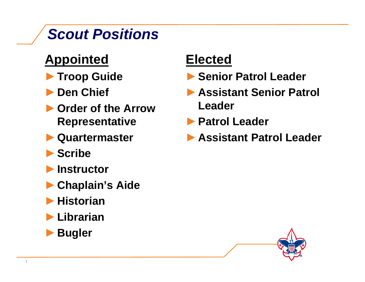# *Scout Positions*

- **Appointed**
- ►**Troop Guide**
- ►**Den Chief**
- ►**Order of the Arrow Representative**
- ►**Quartermaster**
- ►**Scribe**
- ►**Instructor**
- ►**Chaplain's Aide**
- ►**Historian**
- ►**Librarian**
- ►**B l Bugler**

### **Elected**

- ►**Senior Patrol Leader**
- ►**Assistant Senior Patrol Leader**
- ►**Patrol Leader Patrol**
	- ►**Assistant Patrol Leader**

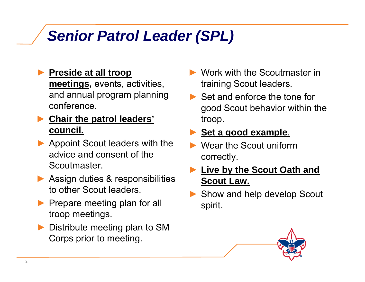# *Senior Patrol Leader (SPL)*

- ► **Preside at all troop meetin g s,** events, activities, **,**, , trainin and annual program planning conference.
- ▶ Chair the patrol leaders' **beach the stroom council.**
- ▶ Appoint Scout leaders with the advice and consent of the Scoutmaster.
- ▶ Assign duties & responsibilities to other Scout leaders.
- ▶ Prepare meeting plan for all troop meetings.
- ►**Distribute meeting plan to SM** Corps prior to meeting.
- ► Work with the Scoutmaster in g Scout leaders. g
- $\blacktriangleright$  Set and enforce the tone for good Scout behavior within the p. p

- ► Wear the Scout uniform correctly .
- ► **Live by the Scout Oath and Scout Law.**
- ► Show and help develop Scout<br>spirit.

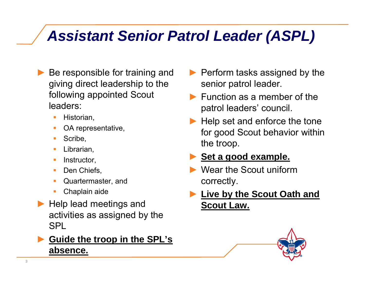## *Assistant Senior Patrol Leader (ASPL)*

- ► Be responsible for training and giving direct leadership to the senior following appointed Scout leaders:
	- П Historian,
	- ⊔ OA representative,
	- **College** Scribe,
	- **Librarian,**
	- $\blacksquare$  Instructor,  $\blacksquare$
	- Den Chiefs,
	- **Quartermaster, and**
	- н Chaplain aide
- ▶ Help lead meetings and activities as assigned by the SPL

#### ► **Guide the troop in the SPL's absence.**

- ▶ Perform tasks assigned by the patrol leader. p
- $\blacktriangleright$  Function as a member of the patrol leaders' council.
- $\blacktriangleright$  Help set and enforce the tone for good Scout behavior within the troop.

- ► Wear the Scout uniform correctly.
- ►**by** the Scout Oath and **Scout Law.**

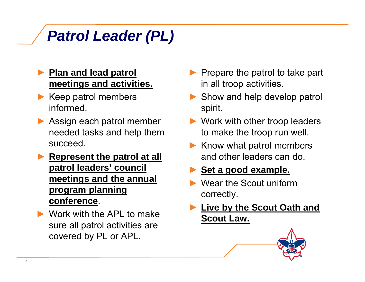# *Patrol Leader (PL)*

#### ► **Plan and lead patrol meetings and activities.**

- ► Keep patrol members informed.
- $\blacktriangleright$  Assign each patrol member needed tasks and help them succeed.
- ▶ **Represent the patrol at all patrol leaders' council meetings and the annual program planning** correctly **pg <sup>p</sup> <sup>g</sup> conference**.conference.
- ► Work with the APL to make sure all patrol activities are p covered by PL or APL.
- $\blacktriangleright$  Prepare the patrol to take part **gs and activities.** The all troop activities.
	- ► Show and help develop patrol spirit.
	- **Nork with other troop leaders** to make the troop run well.
	- ► Know what patrol members **t the patrol at all endulary and other leaders can do.** 
		- ► **Set a good example.**
		- ► Wear the Scout uniform correctly.
		- ►**Live by the Scout Oath and Scout Law.**

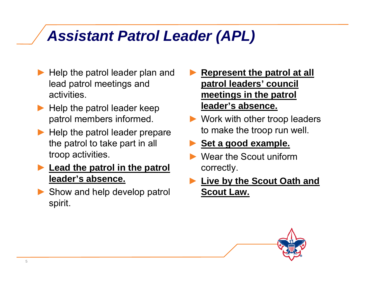# *Assistant Patrol Leader (APL)*

- ► Help the patrol leader plan and lead patrol meetings and activities.
- ► Help the patrol leader keep patrol members informed. p
- ► Help the patrol leader prepare the patrol to take part in all troo p activities. p
- ► **Lead the patrol in the patrol leader's absence.**
- ▶ Show and help develop patrol **Scout Law.** spirit.
- ► **Represent the patrol at all patrol leaders' council p meetings in the patrol leader's absence.**
- ► Work with other troop leaders to make the troop run well.

- ► Wear the Scout uniform correctly.
- ► **Live by the Scout Oath and Scout Law.**

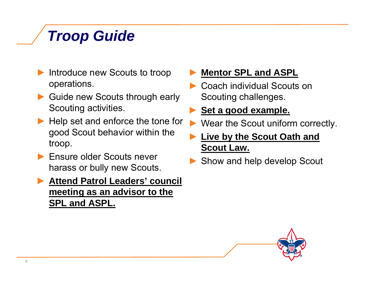# *Troop Guide*

- ► Introduce new Scouts to troop operations.
- ► Guide new Scouts through early Scouting activities.
- $\blacktriangleright$  Help set and enforce the tone for  $\blacktriangleright$ good Scout behavior within the troop.
- ► Ensure older Scouts never Litsure older Scouts never<br>harass or bully new Scouts.

► **Attend Patrol Leaders' council meeting as an advisor to the SPL and ASPL.**

#### ►**Mentor SPL and ASPL**

▶ Coach individual Scouts on Scouting challenges.

- Wear the Scout uniform correctly.
- ► **Live by the Scout Oath and Scout Law.**
- 

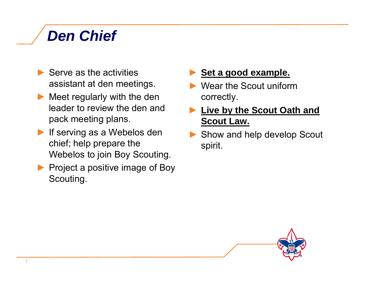# *Den Chief*

- $\blacktriangleright$  Serve as the activities assistant at den meetings.  $\begin{array}{|c|c|}\hline \textbf{y} & \textbf{z} & \textbf{z} & \textbf{z} & \textbf{z} & \textbf{z} & \textbf{z} & \textbf{z} & \textbf{z} & \textbf{z} & \textbf{z} & \textbf{z} & \textbf{z} & \textbf{z} & \textbf{z} & \textbf{z} & \textbf{z} & \textbf{z} & \textbf{z} & \textbf{z} & \textbf{z} & \textbf{z} & \textbf{z} & \textbf{z} & \textbf{z} & \textbf{z$
- ► Meet regularly with the den leader to review the den and pack meeting plans. p gp **Scout Law**
- ► If serving as a Webelos den chief; help prepare the Webelos to join Boy Scouting.
- ▶ Project a positive image of Boy Scouting.
- ► **Set a good example.**
- ▶ Wear the Scout uniform . . . . . . . . correctly.
- ► **Live by the Scout Oath and Law.**
- ▶ Show and help develop Scout spirit.

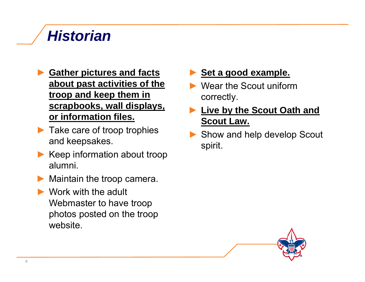# *Historian*

- ► **Gather pictures and facts about past activities of the p** ►**troop and keep them in scrapbooks, wall displays, or information files.**
- ► Take care of troop trophies and keepsakes.
- ►▶ Keep information about troop<br>alumni.
- ►Maintain the troop camera.
- ► Work with the adult Webmaster to have troop photos posted on the troop website.

- ▶ Wear the Scout uniform . . . . . . . . correctly.
- ► **Live by the Scout Oath and Scout Law Law.**
- ▶ Show and help develop Scout spirit.

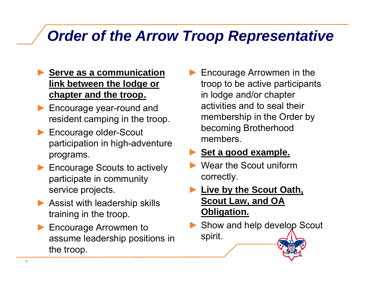## *Order of the Arrow Troop Representative*

- ► **Serve as a communication**   ${\sf link}$   ${\sf between}$   ${\sf the}$   ${\sf lodge}$  or  $\hspace{1cm}$  troo **chapter and the troop.**
- ▶ Encourage year-round and resident cam pin g in the troo p.
- ► Encourage older-Scout participation in high-adventure programs.
- ▶ Encourage Scouts to actively participate in community service projects.
- $\blacktriangleright$  Assist with leadership skills training in the troop.
- ▶ Encourage Arrowmen to assume leadership positions in the troop.

► Encourage Arrowmen in the p to be active participants in lodge and/or chapter activities and to seal their membership in the Order by becoming Brotherhood members.

- ► Wear the Scout uniform correctly.
- ► **Live b y the Scout Oath, Scout Law, and OA Obligation.**
- ▶ Show and help develop Scout spirit.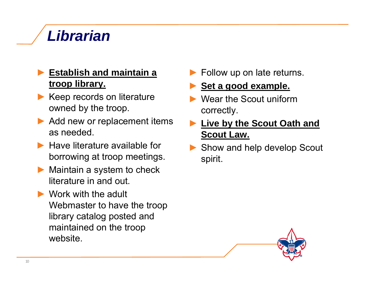# *Librarian*

#### ► **Establish and maintain a troop library. p y** ►

- ► Keep records on literature owned by the troop.
- $\blacktriangleright$  Add new or replacement items as needed.
- $\blacktriangleright$  Have literature available for borrowing at troop meetings spirit meetings.
- ► Maintain a system to check literature in and out.
- ► Work with the adult Webmaster to have the troop library catalog posted and maintained on the troop website.
- ► Follow up on late returns.
- **Set <sup>a</sup> good example example.**
- ► Wear the Scout uniform correctly.
- **Live by the Scout Oath and Scout Law.**
- ▶ Show and help develop Scout spirit.

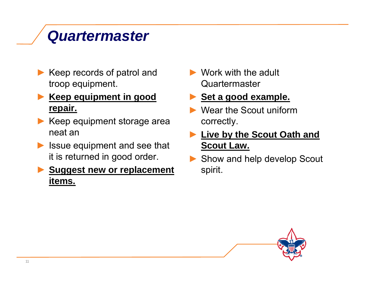## *Quartermaster*

► Keep records of patrol and troop equipment. Quartermaster

#### ► **Keep equipment in good repair.**

- ► Keep equipment storage area exprectly neat an
- ► Issue equipment and see that it is returned in good order

#### ►**Suggest new or replacement items.**

 $\blacktriangleright$  Work with the adult

- ► Wear the Scout uniform correctly.
- ► **Live by the Scout Oath and Scout Law.**
- t is returned in good order. Show and help develop Scout spirit.

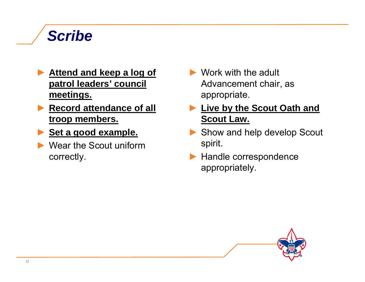## *Scribe*

- ► **Attend and keep a log of meetings.**
- ► **Record attendance of all troop members. p Scout Law.**
- ► **Set a good example.**
- ► Wear the Scout uniform correctly
- **patrol leaders' council** entitly and Advancement chair, as  $\blacktriangleright$  Work with the adult Advancement chair, as appropriate.
	- ► **Live by the Scout Oath and**
	- ▶ Show and help develop Scout spirit.
	- $\blacktriangleright$  Handle correspondence appropriately.

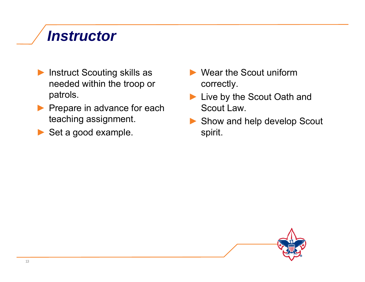## *Instructor*

- ► Instruct Scouting skills as needed within the troop or patrols.
- ▶ Prepare in advance for each teaching assignment.  $\begin{array}{|c|c|}\hline \textbf{r} & \textbf{r} & \textbf{r} \\\hline \end{array}$
- ► Set a good example.
- ► Wear the Scout uniform p correctly. y
	- ► Live by the Scout Oath and Scout Law.
	- Show and help develop Scout spirit.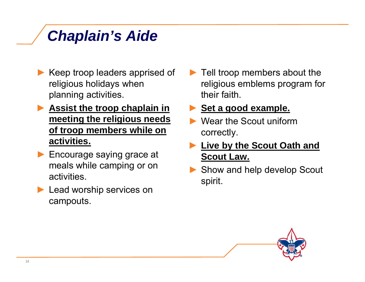# *Chaplain's Aide*

- ► Keep troop leaders apprised of religious holidays when planning activities.
- ► **Assist the troop chaplain in meeting the religious needs g g** ►**of troop members while on activities.**
- ▶ Encourage saying grace at **Scout Law.** meals while camping or on activities.
- ▶ Lead worship services on campouts.

 $\blacktriangleright$  Tell troop members about the gious holidays when \_\_\_\_\_\_\_\_\_\_\_\_\_\_religious emblems program for their faith.

- Wear the Scout uniform correctly.
- ► **Live by the Scout Oath and Scout Law.**
- ▶ Show and help develop Scout spirit.